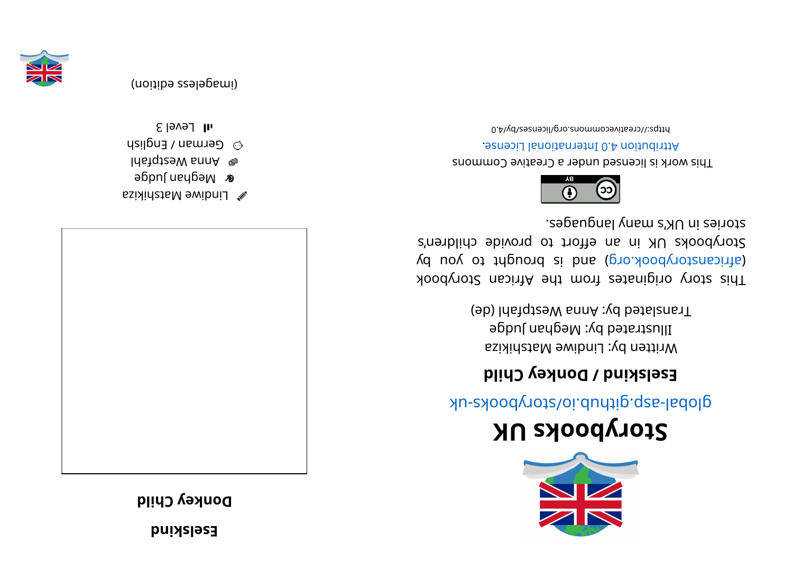**d**<br>**b**uixsless

**digible** Child





- eghor nababa<br>
- l dang be Mann A  $\omega_{\rm B}$  German / English
- $1$  all Level 3



## **KUskoobyr otS**

global-aspookhotal approach and above -uk

## **i** Eselskind / Donkey Child

Written by: Lindiwe Matshikiza Illustrated by: Meghan Judge Translated by: Anna Westpfahl (de)

kood yoof a sing in and work set and work sid and a single single single single single single single (d uoy ot tripuor ai bna (pro. koodynotanaith) Storybooks UK in an effort to provide children's stories in UK's many languages.



This work is licensed under a Creative Commons . esnecial lanoit anternational License.

bttps://creativecommons.org/licenses/by/4.0



(imageless edition)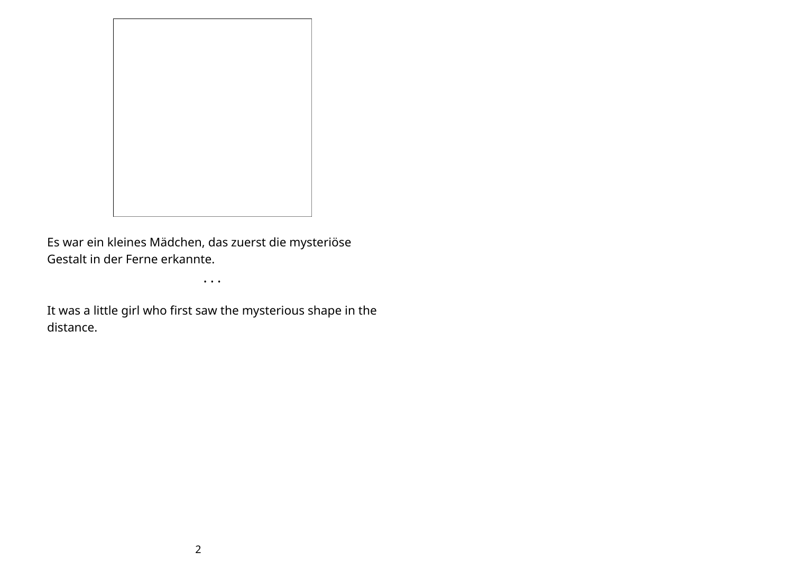

Es war ein kleines Mädchen, das zuerst die mysteriöse Gestalt in der Ferne erkannte.

• • •

It was a little girl who first saw the mysterious shape in the distance.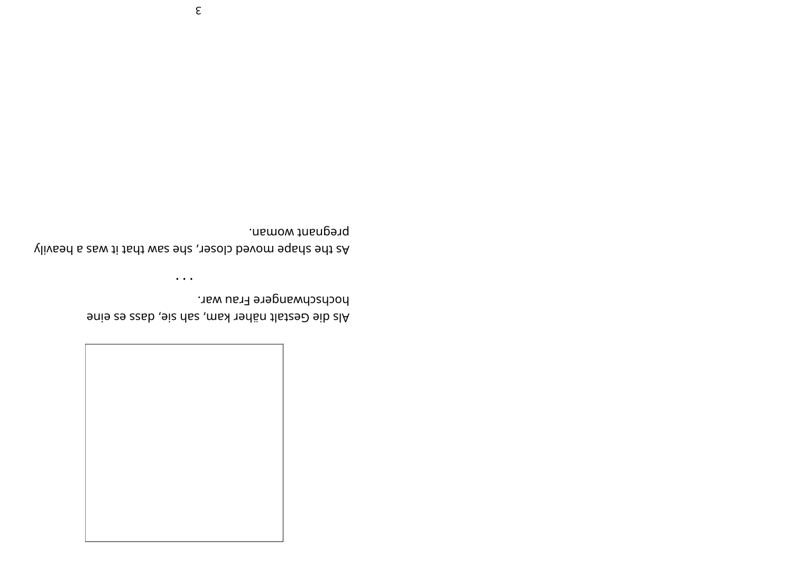

hochschwangere Frau war. Als die Gestalt näher kam, sah sie, dass es eine

pregnant woman. Alivesh a shape moved closer, she saw that it was a heavily

 $\bullet$   $\bullet$   $\bullet$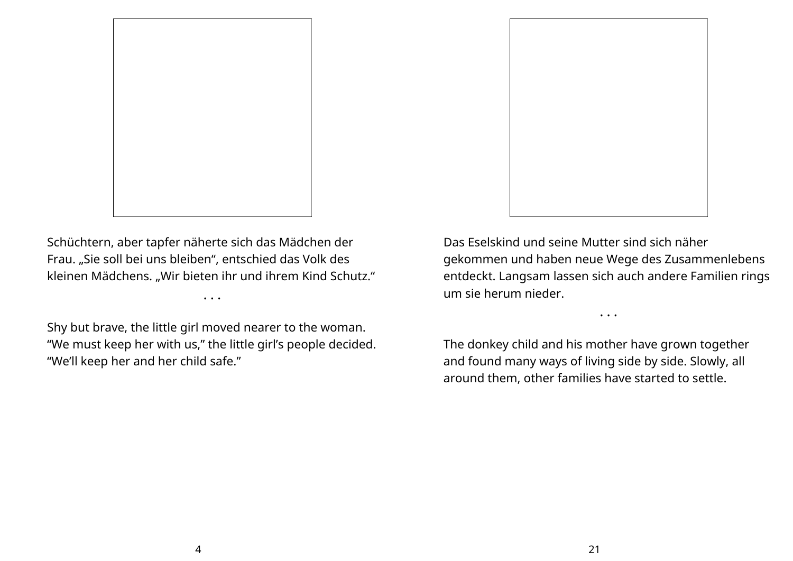

Schüchtern, aber tapfer näherte sich das Mädchen der Frau. "Sie soll bei uns bleiben", entschied das Volk des kleinen Mädchens. "Wir bieten ihr und ihrem Kind Schutz."

• • •

Shy but brave, the little girl moved nearer to the woman. "We must keep her with us," the little girl's people decided. "We'll keep her and her child safe."



Das Eselskind und seine Mutter sind sich näher gekommen und haben neue Wege des Zusammenlebens entdeckt. Langsam lassen sich auch andere Familien rings um sie herum nieder.

• • •

The donkey child and his mother have grown together and found many ways of living side by side. Slowly, all around them, other families have started to settle.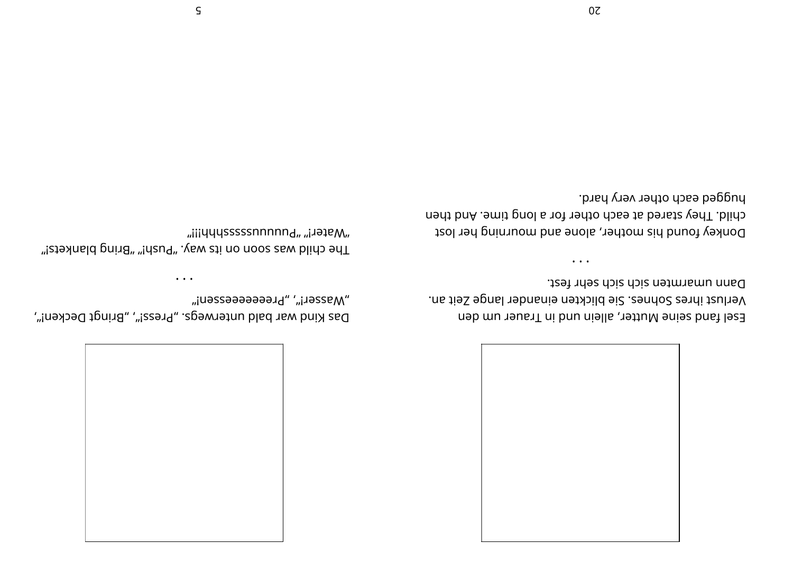

Dann umarmten sich sich sehr fest. Verlust ihres Sohnes. Sie blickten einander lange Zeit an. Esel fand seine Mutter, allein und in Trauer um den

hugged each other very hard. child. They stared at each other for a long time. And then Donkey found his mother, alone and mourning her lost

 $\bullet$   $\bullet$   $\bullet$ 

"Masser!", "Preeeeeessen!" Das Kind war bald unterwegs. "Press!", "Bringt Decken!",

 $\bullet$  . <br> <br> $\bullet$  . <br> <br> <br> <br> <br>

"ijjųųųsssssnnnnna" "j.jajem. "Ithe child was soon on its way. "Push!" "Bring blankets!"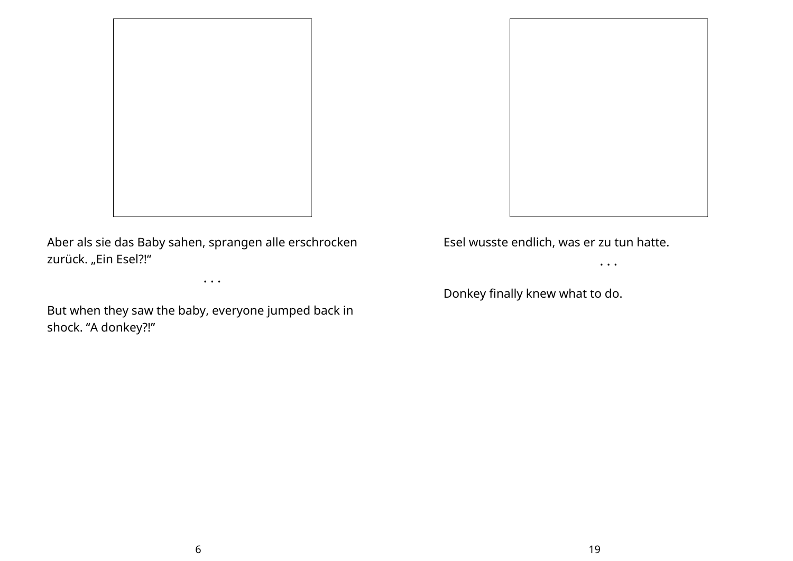

Aber als sie das Baby sahen, sprangen alle erschrocken zurück. "Ein Esel?!"

• • •

But when they saw the baby, everyone jumped back in shock. "A donkey?!"

Esel wusste endlich, was er zu tun hatte.

• • •

Donkey finally knew what to do.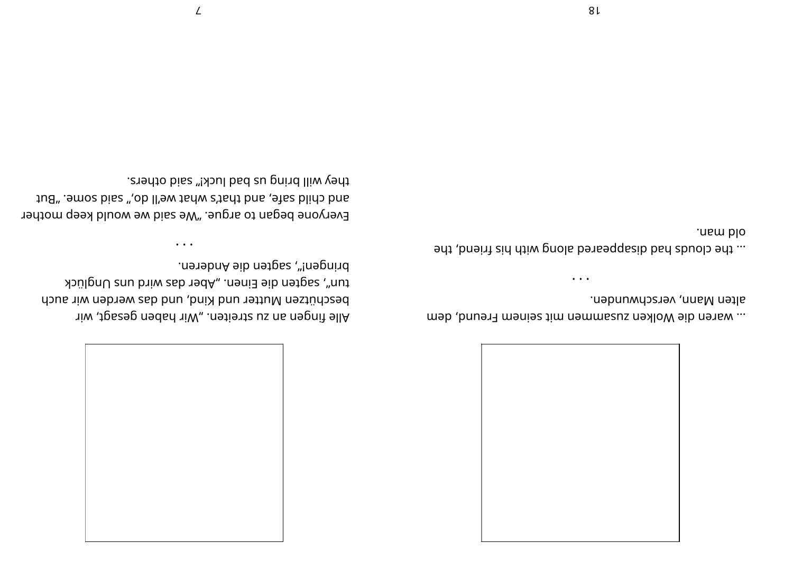

alten Mann, verschwunden. ... waren die Wolken zusammen mit seinem Freund, dem

 $\cdots$ 

old man. ... the clouds had disappeared along with his friend, the

 $81$ 

mengen!", sagten die Anderen. tun", sagten die Einen. "Aber das wird uns Unglück beschützen Mutter und Kind, und das werden wir auch Alle fingen an su streiten. "Wir haben gesagt, wir

 $\cdots$ 

they will bring us bad luck!" said others. ang, amos pies ",ob Il'ew tark s'tart bns, alas blido bns Everyone began to argue. "We said we would keep mother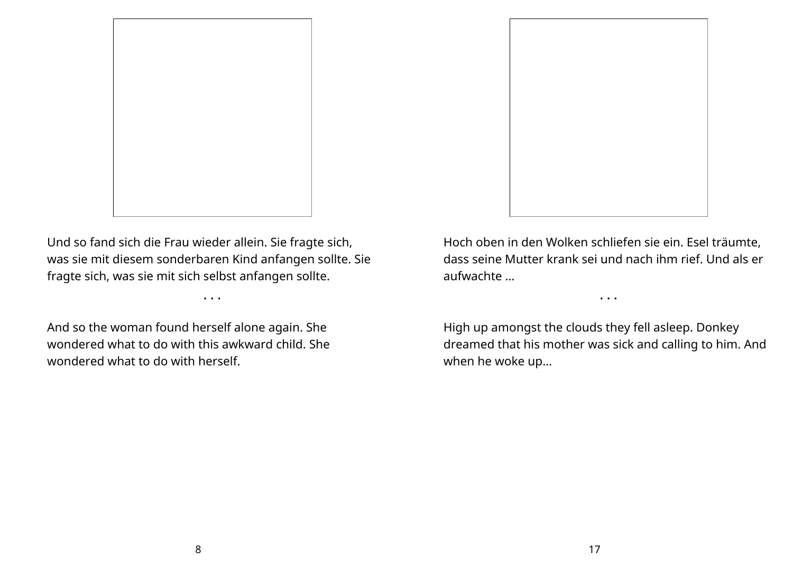

Und so fand sich die Frau wieder allein. Sie fragte sich, was sie mit diesem sonderbaren Kind anfangen sollte. Sie fragte sich, was sie mit sich selbst anfangen sollte.

• • •

And so the woman found herself alone again. She wondered what to do with this awkward child. She wondered what to do with herself.

Hoch oben in den Wolken schliefen sie ein. Esel träumte, dass seine Mutter krank sei und nach ihm rief. Und als er aufwachte …

High up amongst the clouds they fell asleep. Donkey dreamed that his mother was sick and calling to him. And when he woke up…

• • •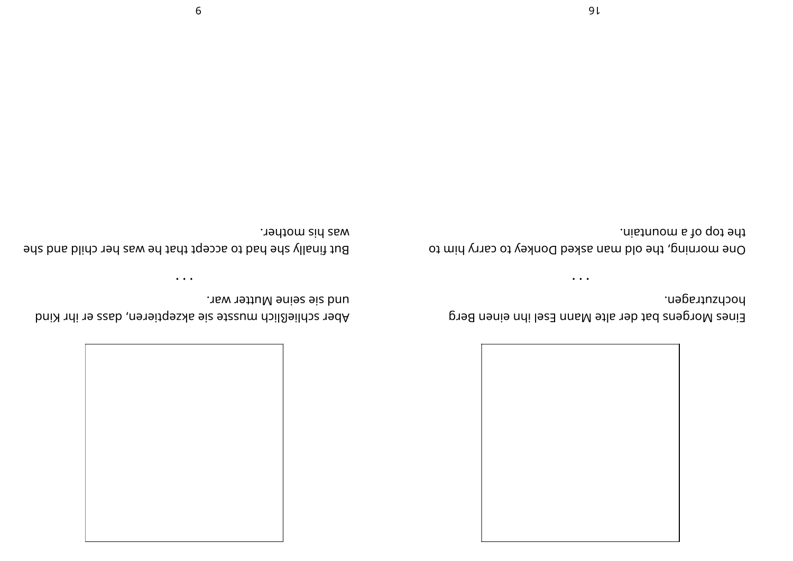

hochzutragen. Eines Morgens bat der alte Mann Esel ihn einen Berg

the top of a mountain. One morning, the old man asked Donkey to carry him to

 $\bullet\hspace{0.4mm}\bullet\hspace{0.4mm}\bullet\hspace{0.4mm}\bullet\hspace{0.4mm}$ 

was his mother. But finally she had to accept that he was her child and she

und sie seine Mutter war.

 $\bullet$   $\bullet$   $\bullet$ 

Aber schließlich musste sie akzeptieren, dass er ihr Kind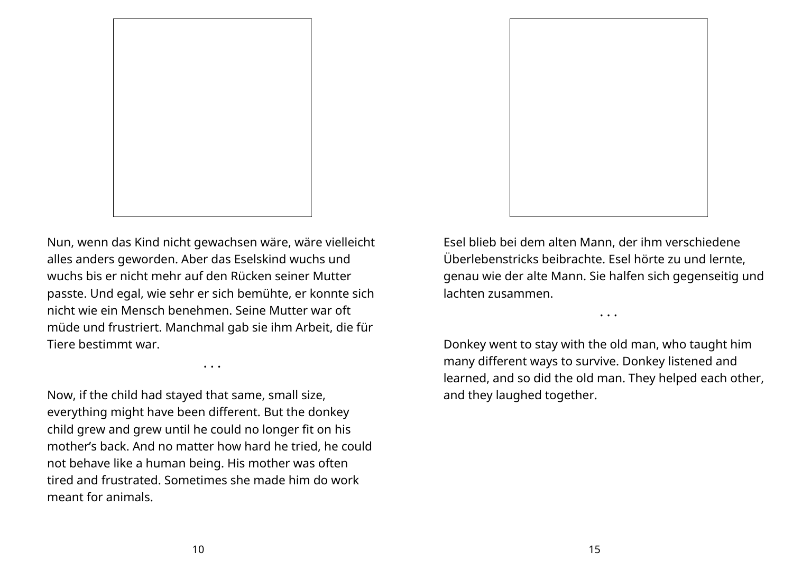

Nun, wenn das Kind nicht gewachsen wäre, wäre vielleicht alles anders geworden. Aber das Eselskind wuchs und wuchs bis er nicht mehr auf den Rücken seiner Mutter passte. Und egal, wie sehr er sich bemühte, er konnte sich nicht wie ein Mensch benehmen. Seine Mutter war oft müde und frustriert. Manchmal gab sie ihm Arbeit, die für Tiere bestimmt war.

• • •

Now, if the child had stayed that same, small size, everything might have been different. But the donkey child grew and grew until he could no longer fit on his mother's back. And no matter how hard he tried, he could not behave like a human being. His mother was often tired and frustrated. Sometimes she made him do work meant for animals.

Esel blieb bei dem alten Mann, der ihm verschiedene Überlebenstricks beibrachte. Esel hörte zu und lernte, genau wie der alte Mann. Sie halfen sich gegenseitig und lachten zusammen.

• • •

Donkey went to stay with the old man, who taught him many different ways to survive. Donkey listened and learned, and so did the old man. They helped each other, and they laughed together.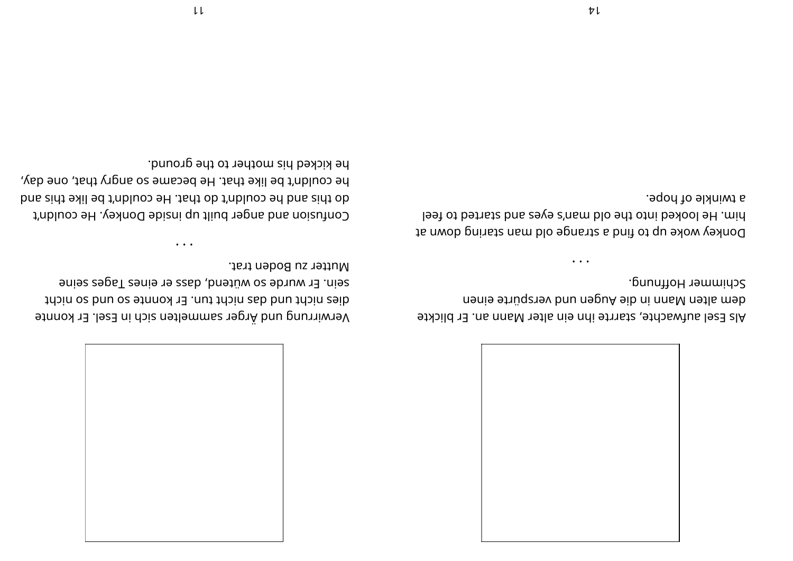

Schimmer Hoffnung. dem alten Mann in die Augen und verspürte einen Als Esel aufwachte, starrte ihn ein alter Mann an. Er blickte

a twinkle of hope. he looked into the old man's eyes and started to feel Donkey woke up to find a strange old man staring down at

 $\ddot{\phantom{a}}$ 

Mutter zu Boden trat. sein. Er wurde so wütend, dass er eines Tages seine dies nicht und das nicht tun. Er konnte so und so nicht Verwirrung und Ärger sammelten sich in Esel. Er konnte

he kicked his mother to the ground. he couldn't be like that. He became so angry that, one day, go this and he couldn't do that. He couldn't be like this and Confusion and anger built up inside Donkey. He couldn't